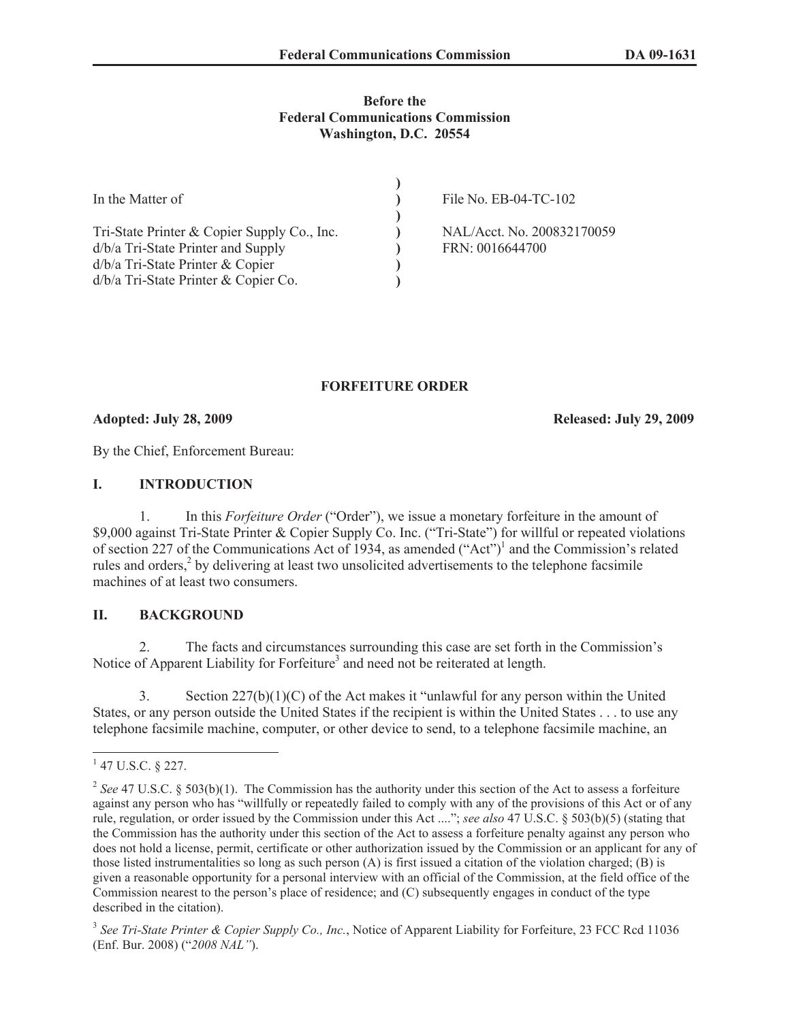## **Before the Federal Communications Commission Washington, D.C. 20554**

| In the Matter of                                                                                                                                                | File No. EB-04-TC-102                         |
|-----------------------------------------------------------------------------------------------------------------------------------------------------------------|-----------------------------------------------|
| Tri-State Printer & Copier Supply Co., Inc.<br>d/b/a Tri-State Printer and Supply<br>d/b/a Tri-State Printer & Copier<br>$d/b/a$ Tri-State Printer & Copier Co. | NAL/Acct. No. 200832170059<br>FRN: 0016644700 |

# **FORFEITURE ORDER**

**Adopted: July 28, 2009 Released: July 29, 2009**

By the Chief, Enforcement Bureau:

## **I. INTRODUCTION**

1. In this *Forfeiture Order* ("Order"), we issue a monetary forfeiture in the amount of \$9,000 against Tri-State Printer & Copier Supply Co. Inc. ("Tri-State") for willful or repeated violations of section 227 of the Communications Act of 1934, as amended  $("Act")^1$  and the Commission's related rules and orders,<sup>2</sup> by delivering at least two unsolicited advertisements to the telephone facsimile machines of at least two consumers.

# **II. BACKGROUND**

2. The facts and circumstances surrounding this case are set forth in the Commission's Notice of Apparent Liability for Forfeiture<sup>3</sup> and need not be reiterated at length.

3. Section 227(b)(1)(C) of the Act makes it "unlawful for any person within the United States, or any person outside the United States if the recipient is within the United States . . . to use any telephone facsimile machine, computer, or other device to send, to a telephone facsimile machine, an

3 *See Tri-State Printer & Copier Supply Co., Inc.*, Notice of Apparent Liability for Forfeiture, 23 FCC Rcd 11036 (Enf. Bur. 2008) ("*2008 NAL"*).

 $1$  47 U.S.C. § 227.

<sup>&</sup>lt;sup>2</sup> See 47 U.S.C. § 503(b)(1). The Commission has the authority under this section of the Act to assess a forfeiture against any person who has "willfully or repeatedly failed to comply with any of the provisions of this Act or of any rule, regulation, or order issued by the Commission under this Act ...."; *see also* 47 U.S.C. § 503(b)(5) (stating that the Commission has the authority under this section of the Act to assess a forfeiture penalty against any person who does not hold a license, permit, certificate or other authorization issued by the Commission or an applicant for any of those listed instrumentalities so long as such person (A) is first issued a citation of the violation charged; (B) is given a reasonable opportunity for a personal interview with an official of the Commission, at the field office of the Commission nearest to the person's place of residence; and (C) subsequently engages in conduct of the type described in the citation).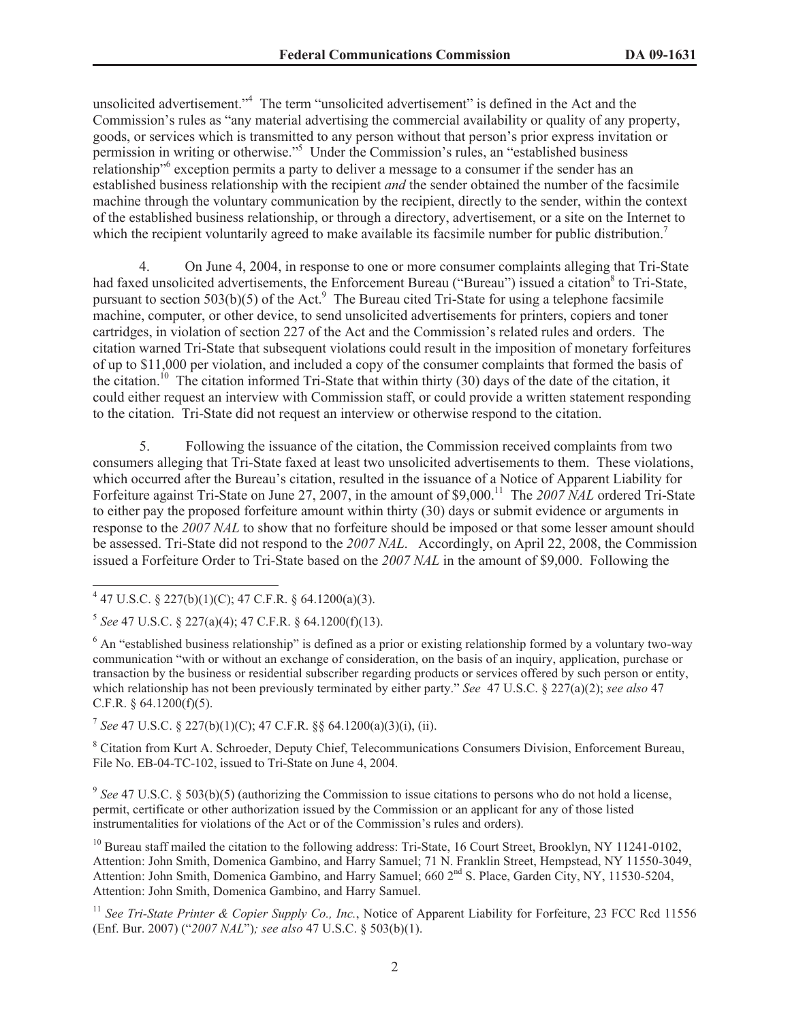unsolicited advertisement." <sup>4</sup> The term "unsolicited advertisement" is defined in the Act and the Commission's rules as "any material advertising the commercial availability or quality of any property, goods, or services which is transmitted to any person without that person's prior express invitation or permission in writing or otherwise."<sup>5</sup> Under the Commission's rules, an "established business relationship<sup>16</sup> exception permits a party to deliver a message to a consumer if the sender has an established business relationship with the recipient *and* the sender obtained the number of the facsimile machine through the voluntary communication by the recipient, directly to the sender, within the context of the established business relationship, or through a directory, advertisement, or a site on the Internet to which the recipient voluntarily agreed to make available its facsimile number for public distribution.<sup>7</sup>

4. On June 4, 2004, in response to one or more consumer complaints alleging that Tri-State had faxed unsolicited advertisements, the Enforcement Bureau ("Bureau") issued a citation<sup>8</sup> to Tri-State, pursuant to section  $503(b)(5)$  of the Act.<sup>9</sup> The Bureau cited Tri-State for using a telephone facsimile machine, computer, or other device, to send unsolicited advertisements for printers, copiers and toner cartridges, in violation of section 227 of the Act and the Commission's related rules and orders. The citation warned Tri-State that subsequent violations could result in the imposition of monetary forfeitures of up to \$11,000 per violation, and included a copy of the consumer complaints that formed the basis of the citation.<sup>10</sup> The citation informed Tri-State that within thirty (30) days of the date of the citation, it could either request an interview with Commission staff, or could provide a written statement responding to the citation. Tri-State did not request an interview or otherwise respond to the citation.

5. Following the issuance of the citation, the Commission received complaints from two consumers alleging that Tri-State faxed at least two unsolicited advertisements to them. These violations, which occurred after the Bureau's citation, resulted in the issuance of a Notice of Apparent Liability for Forfeiture against Tri-State on June 27, 2007, in the amount of \$9,000.<sup>11</sup> The 2007 NAL ordered Tri-State to either pay the proposed forfeiture amount within thirty (30) days or submit evidence or arguments in response to the *2007 NAL* to show that no forfeiture should be imposed or that some lesser amount should be assessed. Tri-State did not respond to the *2007 NAL*. Accordingly, on April 22, 2008, the Commission issued a Forfeiture Order to Tri-State based on the *2007 NAL* in the amount of \$9,000. Following the

7 *See* 47 U.S.C. § 227(b)(1)(C); 47 C.F.R. §§ 64.1200(a)(3)(i), (ii).

<sup>8</sup> Citation from Kurt A. Schroeder, Deputy Chief, Telecommunications Consumers Division, Enforcement Bureau, File No. EB-04-TC-102, issued to Tri-State on June 4, 2004.

<sup>9</sup> See 47 U.S.C. § 503(b)(5) (authorizing the Commission to issue citations to persons who do not hold a license, permit, certificate or other authorization issued by the Commission or an applicant for any of those listed instrumentalities for violations of the Act or of the Commission's rules and orders).

<sup>10</sup> Bureau staff mailed the citation to the following address: Tri-State, 16 Court Street, Brooklyn, NY 11241-0102, Attention: John Smith, Domenica Gambino, and Harry Samuel; 71 N. Franklin Street, Hempstead, NY 11550-3049, Attention: John Smith, Domenica Gambino, and Harry Samuel; 660 2<sup>nd</sup> S. Place, Garden City, NY, 11530-5204, Attention: John Smith, Domenica Gambino, and Harry Samuel.

<sup>11</sup> *See Tri-State Printer & Copier Supply Co., Inc.*, Notice of Apparent Liability for Forfeiture, 23 FCC Rcd 11556 (Enf. Bur. 2007) ("*2007 NAL*")*; see also* 47 U.S.C. § 503(b)(1).

 $447$  U.S.C. § 227(b)(1)(C); 47 C.F.R. § 64.1200(a)(3).

<sup>5</sup> *See* 47 U.S.C. § 227(a)(4); 47 C.F.R. § 64.1200(f)(13).

 $6$  An "established business relationship" is defined as a prior or existing relationship formed by a voluntary two-way communication "with or without an exchange of consideration, on the basis of an inquiry, application, purchase or transaction by the business or residential subscriber regarding products or services offered by such person or entity, which relationship has not been previously terminated by either party." *See* 47 U.S.C. § 227(a)(2); *see also* 47 C.F.R. § 64.1200(f)(5).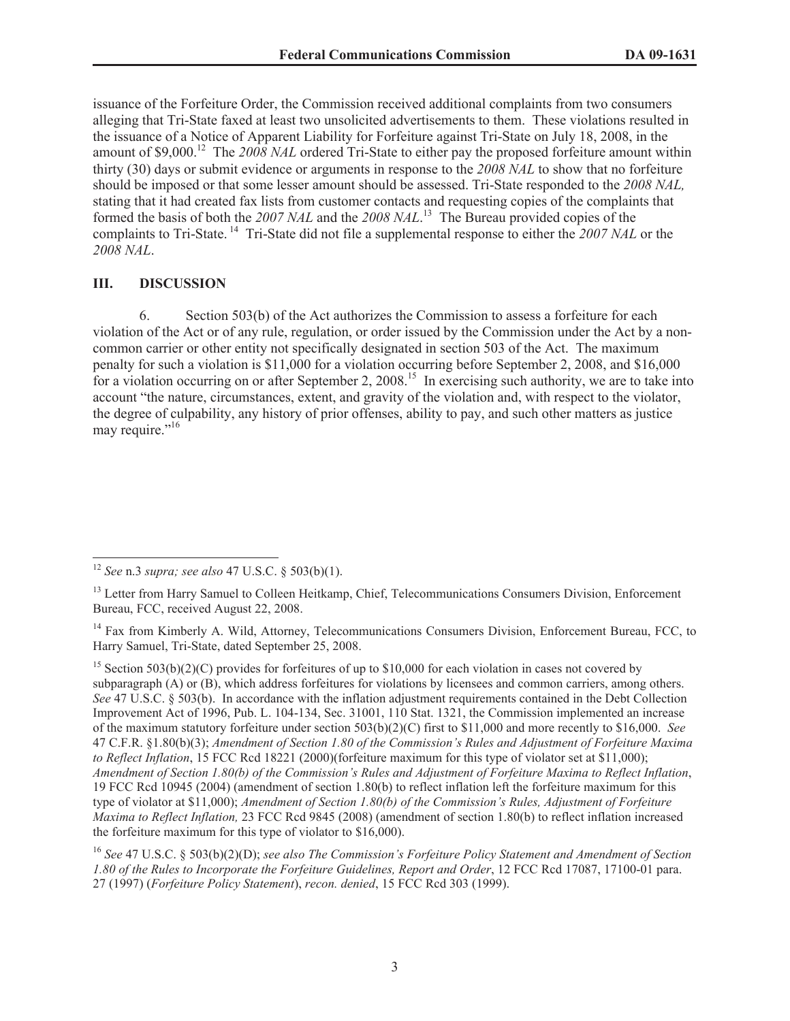issuance of the Forfeiture Order, the Commission received additional complaints from two consumers alleging that Tri-State faxed at least two unsolicited advertisements to them. These violations resulted in the issuance of a Notice of Apparent Liability for Forfeiture against Tri-State on July 18, 2008, in the amount of \$9,000.<sup>12</sup> The 2008 NAL ordered Tri-State to either pay the proposed forfeiture amount within thirty (30) days or submit evidence or arguments in response to the *2008 NAL* to show that no forfeiture should be imposed or that some lesser amount should be assessed. Tri-State responded to the *2008 NAL,* stating that it had created fax lists from customer contacts and requesting copies of the complaints that formed the basis of both the *2007 NAL* and the *2008 NAL*. <sup>13</sup> The Bureau provided copies of the complaints to Tri-State. <sup>14</sup> Tri-State did not file a supplemental response to either the *2007 NAL* or the *2008 NAL*.

## **III. DISCUSSION**

6. Section 503(b) of the Act authorizes the Commission to assess a forfeiture for each violation of the Act or of any rule, regulation, or order issued by the Commission under the Act by a noncommon carrier or other entity not specifically designated in section 503 of the Act. The maximum penalty for such a violation is \$11,000 for a violation occurring before September 2, 2008, and \$16,000 for a violation occurring on or after September 2, 2008.<sup>15</sup> In exercising such authority, we are to take into account "the nature, circumstances, extent, and gravity of the violation and, with respect to the violator, the degree of culpability, any history of prior offenses, ability to pay, and such other matters as justice may require."<sup>16</sup>

<sup>12</sup> *See* n.3 *supra; see also* 47 U.S.C. § 503(b)(1).

<sup>&</sup>lt;sup>13</sup> Letter from Harry Samuel to Colleen Heitkamp, Chief, Telecommunications Consumers Division, Enforcement Bureau, FCC, received August 22, 2008.

<sup>&</sup>lt;sup>14</sup> Fax from Kimberly A. Wild, Attorney, Telecommunications Consumers Division, Enforcement Bureau, FCC, to Harry Samuel, Tri-State, dated September 25, 2008.

<sup>&</sup>lt;sup>15</sup> Section 503(b)(2)(C) provides for forfeitures of up to \$10,000 for each violation in cases not covered by subparagraph (A) or (B), which address forfeitures for violations by licensees and common carriers, among others. *See* 47 U.S.C. § 503(b). In accordance with the inflation adjustment requirements contained in the Debt Collection Improvement Act of 1996, Pub. L. 104-134, Sec. 31001, 110 Stat. 1321, the Commission implemented an increase of the maximum statutory forfeiture under section 503(b)(2)(C) first to \$11,000 and more recently to \$16,000. *See* 47 C.F.R. §1.80(b)(3); *Amendment of Section 1.80 of the Commission's Rules and Adjustment of Forfeiture Maxima to Reflect Inflation*, 15 FCC Rcd 18221 (2000)(forfeiture maximum for this type of violator set at \$11,000); *Amendment of Section 1.80(b) of the Commission's Rules and Adjustment of Forfeiture Maxima to Reflect Inflation*, 19 FCC Rcd 10945 (2004) (amendment of section 1.80(b) to reflect inflation left the forfeiture maximum for this type of violator at \$11,000); *Amendment of Section 1.80(b) of the Commission's Rules, Adjustment of Forfeiture Maxima to Reflect Inflation,* 23 FCC Rcd 9845 (2008) (amendment of section 1.80(b) to reflect inflation increased the forfeiture maximum for this type of violator to \$16,000).

<sup>16</sup> *See* 47 U.S.C. § 503(b)(2)(D); *see also The Commission's Forfeiture Policy Statement and Amendment of Section 1.80 of the Rules to Incorporate the Forfeiture Guidelines, Report and Order*, 12 FCC Rcd 17087, 17100-01 para. 27 (1997) (*Forfeiture Policy Statement*), *recon. denied*, 15 FCC Rcd 303 (1999).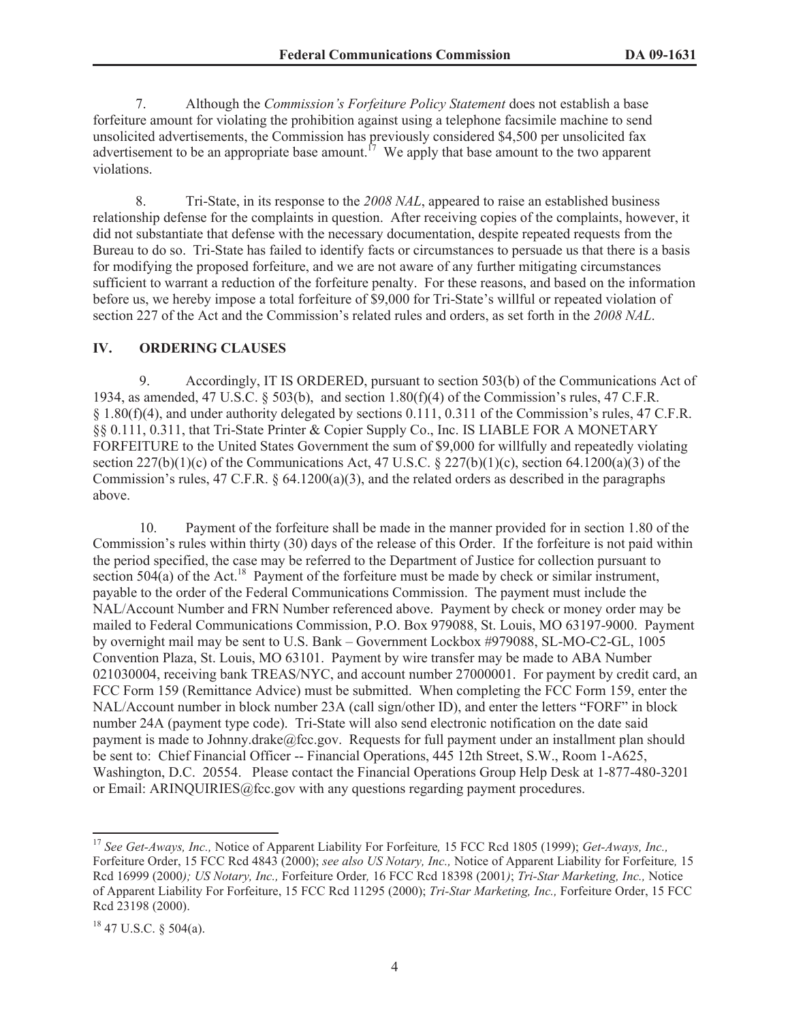7. Although the *Commission's Forfeiture Policy Statement* does not establish a base forfeiture amount for violating the prohibition against using a telephone facsimile machine to send unsolicited advertisements, the Commission has previously considered \$4,500 per unsolicited fax advertisement to be an appropriate base amount.<sup>17</sup> We apply that base amount to the two apparent violations.

8. Tri-State, in its response to the *2008 NAL*, appeared to raise an established business relationship defense for the complaints in question. After receiving copies of the complaints, however, it did not substantiate that defense with the necessary documentation, despite repeated requests from the Bureau to do so. Tri-State has failed to identify facts or circumstances to persuade us that there is a basis for modifying the proposed forfeiture, and we are not aware of any further mitigating circumstances sufficient to warrant a reduction of the forfeiture penalty. For these reasons, and based on the information before us, we hereby impose a total forfeiture of \$9,000 for Tri-State's willful or repeated violation of section 227 of the Act and the Commission's related rules and orders, as set forth in the *2008 NAL*.

### **IV. ORDERING CLAUSES**

9. Accordingly, IT IS ORDERED, pursuant to section 503(b) of the Communications Act of 1934, as amended, 47 U.S.C. § 503(b), and section 1.80(f)(4) of the Commission's rules, 47 C.F.R. § 1.80(f)(4), and under authority delegated by sections 0.111, 0.311 of the Commission's rules, 47 C.F.R. §§ 0.111, 0.311, that Tri-State Printer & Copier Supply Co., Inc. IS LIABLE FOR A MONETARY FORFEITURE to the United States Government the sum of \$9,000 for willfully and repeatedly violating section  $227(b)(1)(c)$  of the Communications Act, 47 U.S.C. §  $227(b)(1)(c)$ , section 64.1200(a)(3) of the Commission's rules,  $47 \text{ C.F.R. }$  §  $64.1200(a)(3)$ , and the related orders as described in the paragraphs above.

10. Payment of the forfeiture shall be made in the manner provided for in section 1.80 of the Commission's rules within thirty (30) days of the release of this Order. If the forfeiture is not paid within the period specified, the case may be referred to the Department of Justice for collection pursuant to section 504(a) of the Act.<sup>18</sup> Payment of the forfeiture must be made by check or similar instrument, payable to the order of the Federal Communications Commission. The payment must include the NAL/Account Number and FRN Number referenced above. Payment by check or money order may be mailed to Federal Communications Commission, P.O. Box 979088, St. Louis, MO 63197-9000. Payment by overnight mail may be sent to U.S. Bank – Government Lockbox #979088, SL-MO-C2-GL, 1005 Convention Plaza, St. Louis, MO 63101. Payment by wire transfer may be made to ABA Number 021030004, receiving bank TREAS/NYC, and account number 27000001. For payment by credit card, an FCC Form 159 (Remittance Advice) must be submitted. When completing the FCC Form 159, enter the NAL/Account number in block number 23A (call sign/other ID), and enter the letters "FORF" in block number 24A (payment type code). Tri-State will also send electronic notification on the date said payment is made to Johnny.drake@fcc.gov. Requests for full payment under an installment plan should be sent to: Chief Financial Officer -- Financial Operations, 445 12th Street, S.W., Room 1-A625, Washington, D.C. 20554. Please contact the Financial Operations Group Help Desk at 1-877-480-3201 or Email: ARINQUIRIES@fcc.gov with any questions regarding payment procedures.

<sup>17</sup> *See Get-Aways, Inc.,* Notice of Apparent Liability For Forfeiture*,* 15 FCC Rcd 1805 (1999); *Get-Aways, Inc.,*  Forfeiture Order, 15 FCC Rcd 4843 (2000); *see also US Notary, Inc.,* Notice of Apparent Liability for Forfeiture*,* 15 Rcd 16999 (2000*); US Notary, Inc.,* Forfeiture Order*,* 16 FCC Rcd 18398 (2001*)*; *Tri-Star Marketing, Inc.,* Notice of Apparent Liability For Forfeiture, 15 FCC Rcd 11295 (2000); *Tri-Star Marketing, Inc.,* Forfeiture Order, 15 FCC Rcd 23198 (2000).

 $18$  47 U.S.C. § 504(a).